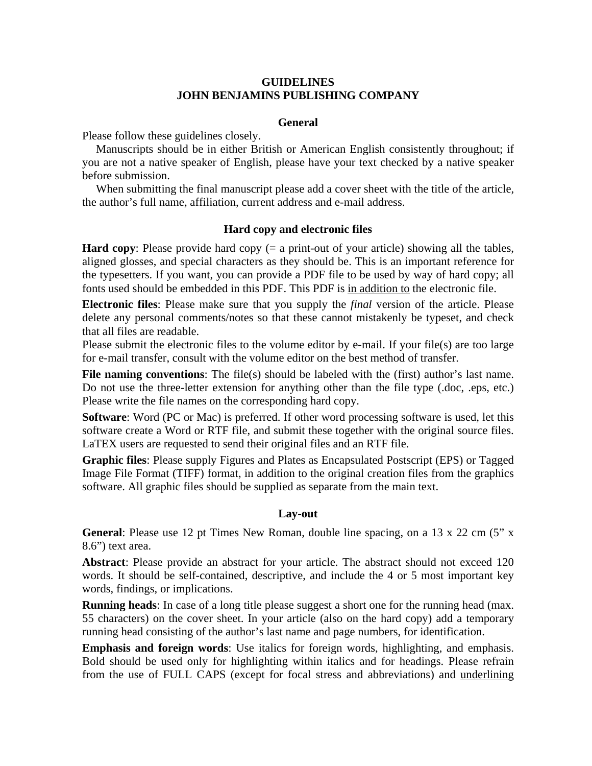# **GUIDELINES JOHN BENJAMINS PUBLISHING COMPANY**

### **General**

Please follow these guidelines closely.

 Manuscripts should be in either British or American English consistently throughout; if you are not a native speaker of English, please have your text checked by a native speaker before submission.

 When submitting the final manuscript please add a cover sheet with the title of the article, the author's full name, affiliation, current address and e-mail address.

#### **Hard copy and electronic files**

**Hard copy**: Please provide hard copy (= a print-out of your article) showing all the tables, aligned glosses, and special characters as they should be. This is an important reference for the typesetters. If you want, you can provide a PDF file to be used by way of hard copy; all fonts used should be embedded in this PDF. This PDF is in addition to the electronic file.

**Electronic files**: Please make sure that you supply the *final* version of the article. Please delete any personal comments/notes so that these cannot mistakenly be typeset, and check that all files are readable.

Please submit the electronic files to the volume editor by e-mail. If your file(s) are too large for e-mail transfer, consult with the volume editor on the best method of transfer.

**File naming conventions:** The file(s) should be labeled with the (first) author's last name. Do not use the three-letter extension for anything other than the file type (.doc, .eps, etc.) Please write the file names on the corresponding hard copy.

**Software**: Word (PC or Mac) is preferred. If other word processing software is used, let this software create a Word or RTF file, and submit these together with the original source files. LaTEX users are requested to send their original files and an RTF file.

**Graphic files**: Please supply Figures and Plates as Encapsulated Postscript (EPS) or Tagged Image File Format (TIFF) format, in addition to the original creation files from the graphics software. All graphic files should be supplied as separate from the main text.

#### **Lay-out**

**General**: Please use 12 pt Times New Roman, double line spacing, on a 13 x 22 cm (5" x 8.6") text area.

**Abstract**: Please provide an abstract for your article. The abstract should not exceed 120 words. It should be self-contained, descriptive, and include the 4 or 5 most important key words, findings, or implications.

**Running heads**: In case of a long title please suggest a short one for the running head (max. 55 characters) on the cover sheet. In your article (also on the hard copy) add a temporary running head consisting of the author's last name and page numbers, for identification.

**Emphasis and foreign words**: Use italics for foreign words, highlighting, and emphasis. Bold should be used only for highlighting within italics and for headings. Please refrain from the use of FULL CAPS (except for focal stress and abbreviations) and underlining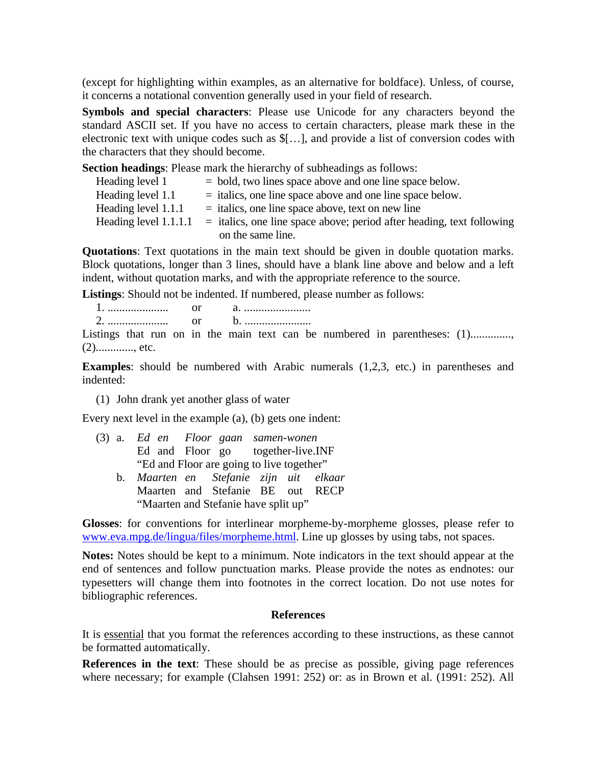(except for highlighting within examples, as an alternative for boldface). Unless, of course, it concerns a notational convention generally used in your field of research.

**Symbols and special characters**: Please use Unicode for any characters beyond the standard ASCII set. If you have no access to certain characters, please mark these in the electronic text with unique codes such as \$[…], and provide a list of conversion codes with the characters that they should become.

**Section headings**: Please mark the hierarchy of subheadings as follows:

| Heading level 1       | $=$ bold, two lines space above and one line space below.               |
|-----------------------|-------------------------------------------------------------------------|
| Heading level 1.1     | $=$ italics, one line space above and one line space below.             |
| Heading level 1.1.1   | $=$ italics, one line space above, text on new line                     |
| Heading level 1.1.1.1 | $=$ italics, one line space above; period after heading, text following |
|                       | on the same line.                                                       |

**Quotations**: Text quotations in the main text should be given in double quotation marks. Block quotations, longer than 3 lines, should have a blank line above and below and a left indent, without quotation marks, and with the appropriate reference to the source.

**Listings**: Should not be indented. If numbered, please number as follows:

1. ..................... or a. ....................... 2. ..................... or b. .......................

Listings that run on in the main text can be numbered in parentheses: (1)..............  $(2)$ .............., etc.

**Examples**: should be numbered with Arabic numerals (1,2,3, etc.) in parentheses and indented:

(1) John drank yet another glass of water

Every next level in the example (a), (b) gets one indent:

- (3) a. *Ed en Floor gaan samen-wonen* Ed and Floor go together-live.INF "Ed and Floor are going to live together"
	- b. *Maarten en Stefanie zijn uit elkaar* Maarten and Stefanie BE out RECP "Maarten and Stefanie have split up"

**Glosses**: for conventions for interlinear morpheme-by-morpheme glosses, please refer to [www.eva.mpg.de/lingua/files/morpheme.html](http://www.eva.mpg.de/lingua/files/morpheme.html). Line up glosses by using tabs, not spaces.

**Notes:** Notes should be kept to a minimum. Note indicators in the text should appear at the end of sentences and follow punctuation marks. Please provide the notes as endnotes: our typesetters will change them into footnotes in the correct location. Do not use notes for bibliographic references.

#### **References**

It is essential that you format the references according to these instructions, as these cannot be formatted automatically.

**References in the text**: These should be as precise as possible, giving page references where necessary; for example (Clahsen 1991: 252) or: as in Brown et al. (1991: 252). All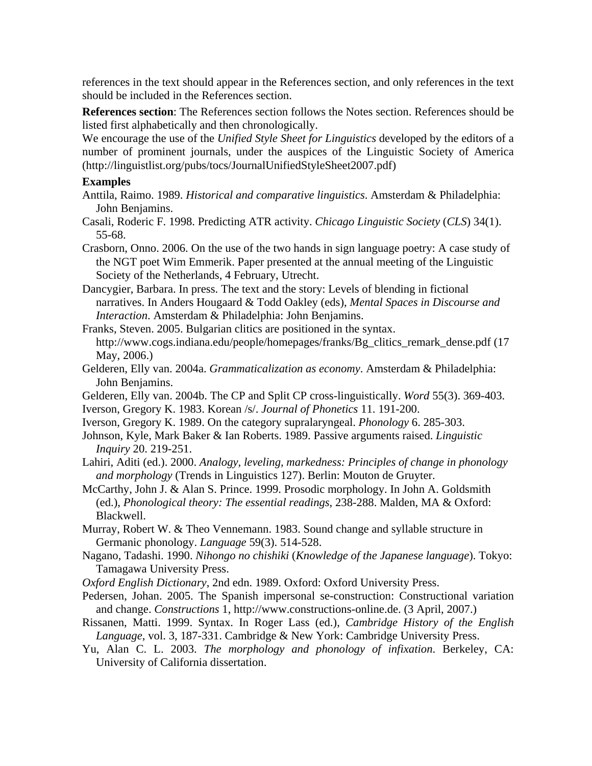references in the text should appear in the References section, and only references in the text should be included in the References section.

**References section**: The References section follows the Notes section. References should be listed first alphabetically and then chronologically.

We encourage the use of the *Unified Style Sheet for Linguistics* developed by the editors of a number of prominent journals, under the auspices of the Linguistic Society of America (http://linguistlist.org/pubs/tocs/JournalUnifiedStyleSheet2007.pdf)

## **Examples**

- Anttila, Raimo. 1989. *Historical and comparative linguistics*. Amsterdam & Philadelphia: John Benjamins.
- Casali, Roderic F. 1998. Predicting ATR activity. *Chicago Linguistic Society* (*CLS*) 34(1). 55-68.
- Crasborn, Onno. 2006. On the use of the two hands in sign language poetry: A case study of the NGT poet Wim Emmerik. Paper presented at the annual meeting of the Linguistic Society of the Netherlands, 4 February, Utrecht.
- Dancygier, Barbara. In press. The text and the story: Levels of blending in fictional narratives. In Anders Hougaard & Todd Oakley (eds), *Mental Spaces in Discourse and Interaction*. Amsterdam & Philadelphia: John Benjamins.
- Franks, Steven. 2005. Bulgarian clitics are positioned in the syntax. http://www.cogs.indiana.edu/people/homepages/franks/Bg\_clitics\_remark\_dense.pdf (17 May, 2006.)
- Gelderen, Elly van. 2004a. *Grammaticalization as economy*. Amsterdam & Philadelphia: John Benjamins.
- Gelderen, Elly van. 2004b. The CP and Split CP cross-linguistically. *Word* 55(3). 369-403.
- Iverson, Gregory K. 1983. Korean /s/. *Journal of Phonetics* 11. 191-200.
- Iverson, Gregory K. 1989. On the category supralaryngeal. *Phonology* 6. 285-303.
- Johnson, Kyle, Mark Baker & Ian Roberts. 1989. Passive arguments raised. *Linguistic Inquiry* 20. 219-251.
- Lahiri, Aditi (ed.). 2000. *Analogy, leveling, markedness: Principles of change in phonology and morphology* (Trends in Linguistics 127). Berlin: Mouton de Gruyter.
- McCarthy, John J. & Alan S. Prince. 1999. Prosodic morphology. In John A. Goldsmith (ed.), *Phonological theory: The essential readings*, 238-288. Malden, MA & Oxford: Blackwell.
- Murray, Robert W. & Theo Vennemann. 1983. Sound change and syllable structure in Germanic phonology. *Language* 59(3). 514-528.
- Nagano, Tadashi. 1990. *Nihongo no chishiki* (*Knowledge of the Japanese language*). Tokyo: Tamagawa University Press.
- *Oxford English Dictionary*, 2nd edn. 1989. Oxford: Oxford University Press.
- Pedersen, Johan. 2005. The Spanish impersonal se-construction: Constructional variation and change. *Constructions* 1, http://www.constructions-online.de. (3 April, 2007.)
- Rissanen, Matti. 1999. Syntax. In Roger Lass (ed.), *Cambridge History of the English Language*, vol. 3, 187-331. Cambridge & New York: Cambridge University Press.
- Yu, Alan C. L. 2003. *The morphology and phonology of infixation*. Berkeley, CA: University of California dissertation.